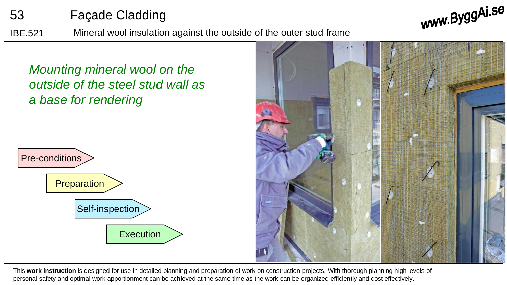

www.ByggAi.se

IBE.521 Mineral wool insulation against the outside of the outer stud frame

*Mounting mineral wool on the outside of the steel stud wall as a base for rendering*





This **work instruction** is designed for use in detailed planning and preparation of work on construction projects. With thorough planning high levels of personal safety and optimal work apportionment can be achieved at the same time as the work can be organized efficiently and cost effectively.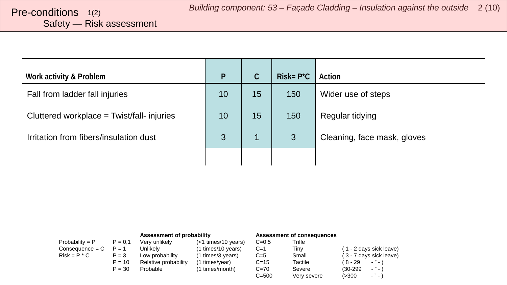# <span id="page-1-0"></span>Safety — Risk assessment

| Work activity & Problem                    | P  | $\mathsf{C}$ | $Risk = P^{\star}C$ | Action                      |
|--------------------------------------------|----|--------------|---------------------|-----------------------------|
| Fall from ladder fall injuries             | 10 | 15           | 150                 | Wider use of steps          |
| Cluttered workplace = Twist/fall- injuries | 10 | 15           | 150                 | Regular tidying             |
| Irritation from fibers/insulation dust     | 3  | 1            | 3                   | Cleaning, face mask, gloves |
|                                            |    |              |                     |                             |

|                   |           | Assessment of probability |                       |           | Assessment of consequences |                           |
|-------------------|-----------|---------------------------|-----------------------|-----------|----------------------------|---------------------------|
| Probability = $P$ | $P = 0.1$ | Very unlikely             | $(<1$ times/10 years) | $C=0.5$   | Trifle                     |                           |
| $Consequence = C$ | $P = 1$   | Unlikelv                  | (1 times/10 years)    | $C=1$     | Tiny                       | (1 - 2 days sick leave)   |
| $Risk = P * C$    | $P = 3$   | Low probability           | (1 times/3 years)     | $C=5$     | Small                      | (3 - 7 days sick leave)   |
|                   | $P = 10$  | Relative probability      | (1 times/year)        | $C = 15$  | Tactile                    | $\cdots$<br>( 8 - 29      |
|                   | $P = 30$  | Probable                  | (1 times/month)       | $C = 70$  | Severe                     | $-$ " $-$ )<br>$(30-299)$ |
|                   |           |                           |                       | $C = 500$ | Very severe                | $ "$ $ )$<br>(>300        |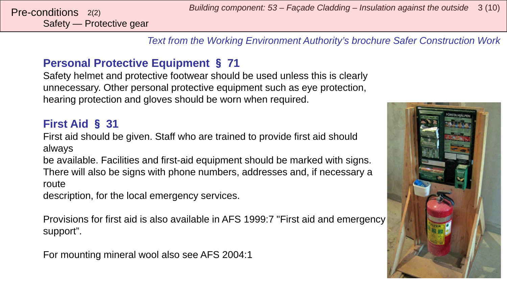Safety — Protective gear

*Text from the Working Environment Authority's brochure Safer Construction Work*

### **Personal Protective Equipment** § **71**

Safety helmet and protective footwear should be used unless this is clearly unnecessary. Other personal protective equipment such as eye protection, hearing protection and gloves should be worn when required.

### **First Aid** § **31**

First aid should be given. Staff who are trained to provide first aid should always

be available. Facilities and first-aid equipment should be marked with signs. There will also be signs with phone numbers, addresses and, if necessary a route

description, for the local emergency services.

Provisions for first aid is also available in AFS 1999:7 "First aid and emergency support".

For mounting mineral wool also see AFS 2004:1

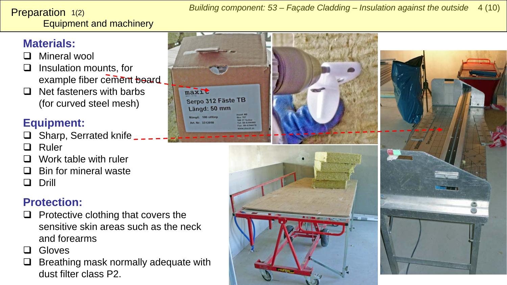#### <span id="page-3-0"></span>Equipment and machinery Preparation 1(2)

#### *Building component: 53 – Façade Cladding – Insulation against the outside* 4 (10)

### **Materials:**

- **D** Mineral wool
- $\Box$  Insulation mounts, for example fiber cement board
- $\Box$  Net fasteners with barbs (for curved steel mesh)

## **Equipment:**

- $\Box$  Sharp, Serrated knife
- **Q** Ruler
- Work table with ruler
- Bin for mineral waste
- Drill

## **Protection:**

- $\Box$  Protective clothing that covers the sensitive skin areas such as the neck and forearms
- **Q** Gloves
- $\Box$  Breathing mask normally adequate with dust filter class P2.

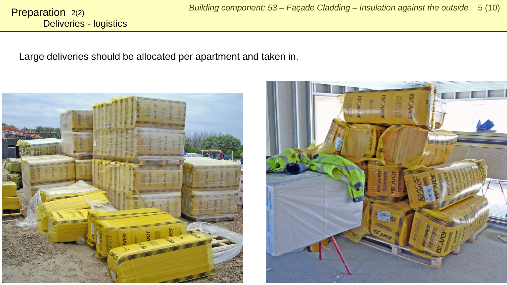Deliveries - logistics Preparation 2(2)

Large deliveries should be allocated per apartment and taken in.



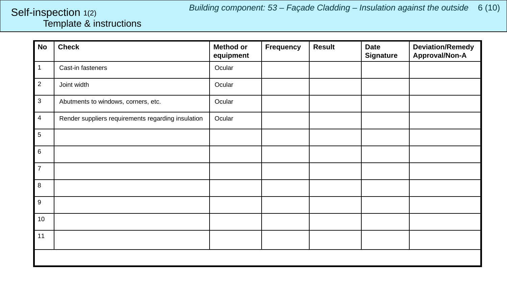*Building component: 53 – Façade Cladding – Insulation against the outside* 6 (10)

#### <span id="page-5-0"></span>Template & instructions Self-inspection 1(2)

| <b>No</b>      | <b>Check</b>                                       | <b>Method or</b><br>equipment | <b>Frequency</b> | <b>Result</b> | <b>Date</b><br><b>Signature</b> | <b>Deviation/Remedy</b><br>Approval/Non-A |
|----------------|----------------------------------------------------|-------------------------------|------------------|---------------|---------------------------------|-------------------------------------------|
| $\mathbf{1}$   | Cast-in fasteners                                  | Ocular                        |                  |               |                                 |                                           |
| $\overline{2}$ | Joint width                                        | Ocular                        |                  |               |                                 |                                           |
| $\mathbf{3}$   | Abutments to windows, corners, etc.                | Ocular                        |                  |               |                                 |                                           |
| $\overline{4}$ | Render suppliers requirements regarding insulation | Ocular                        |                  |               |                                 |                                           |
| $\overline{5}$ |                                                    |                               |                  |               |                                 |                                           |
| 6              |                                                    |                               |                  |               |                                 |                                           |
| $\overline{7}$ |                                                    |                               |                  |               |                                 |                                           |
| 8              |                                                    |                               |                  |               |                                 |                                           |
| 9              |                                                    |                               |                  |               |                                 |                                           |
| 10             |                                                    |                               |                  |               |                                 |                                           |
| 11             |                                                    |                               |                  |               |                                 |                                           |
|                |                                                    |                               |                  |               |                                 |                                           |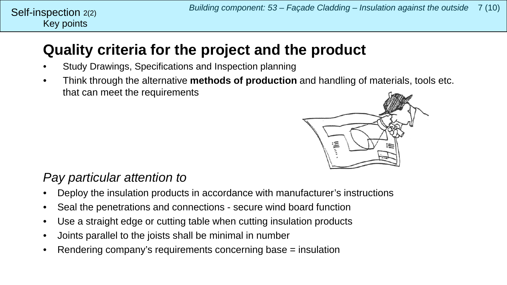## **Quality criteria for the project and the product**

- Study Drawings, Specifications and Inspection planning
- Think through the alternative **methods of production** and handling of materials, tools etc. that can meet the requirements



## *Pay particular attention to*

- Deploy the insulation products in accordance with manufacturer's instructions
- Seal the penetrations and connections secure wind board function
- Use a straight edge or cutting table when cutting insulation products
- Joints parallel to the joists shall be minimal in number
- Rendering company's requirements concerning base = insulation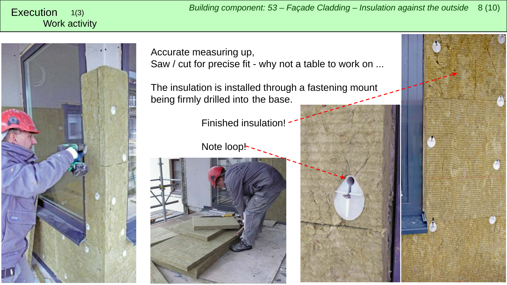<span id="page-7-0"></span>Work activity 1(3)



Accurate measuring up, Saw / cut for precise fit - why not a table to work on ...

The insulation is installed through a fastening mount being firmly drilled into the base.

Finished insulation!

Note loop! -



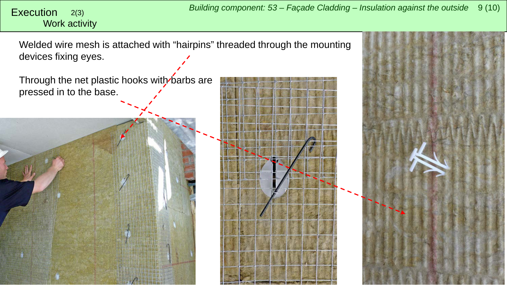# Work activity

*Building component: 53 – Façade Cladding – Insulation against the outside* <sup>9</sup> (10) Execution 2(3)

Welded wire mesh is attached with "hairpins" threaded through the mounting devices fixing eyes.

Through the net plastic hooks with barbs are pressed in to the base.